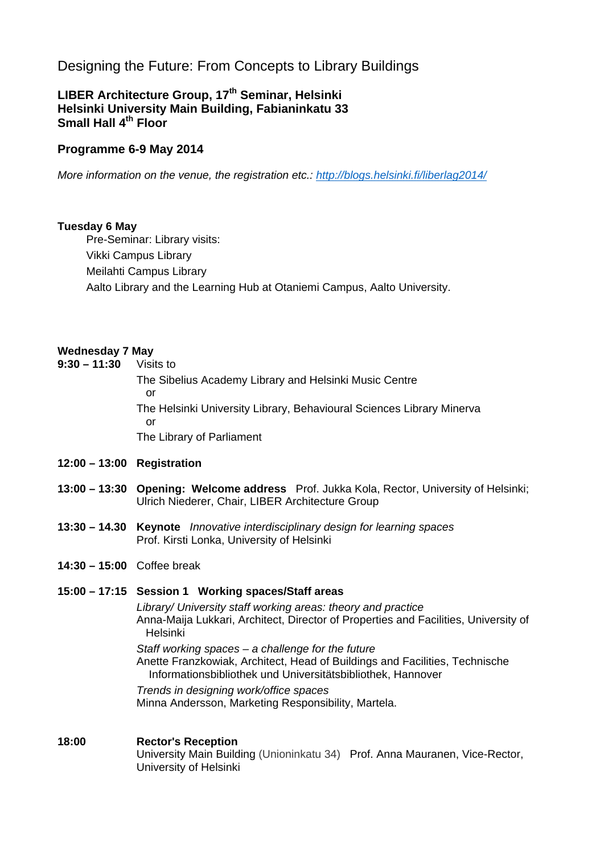# Designing the Future: From Concepts to Library Buildings

## **LIBER Architecture Group, 17th Seminar, Helsinki Helsinki University Main Building, Fabianinkatu 33 Small Hall 4th Floor**

## **Programme 6-9 May 2014**

*More information on the venue, the registration etc.: http://blogs.helsinki.fi/liberlag2014/* 

### **Tuesday 6 May**

Pre-Seminar: Library visits: Vikki Campus Library Meilahti Campus Library Aalto Library and the Learning Hub at Otaniemi Campus, Aalto University.

### **Wednesday 7 May**

**9:30 – 11:30** Visits to The Sibelius Academy Library and Helsinki Music Centre or The Helsinki University Library, Behavioural Sciences Library Minerva or The Library of Parliament

### **12:00 – 13:00 Registration**

- **13:00 13:30 Opening: Welcome address** Prof. Jukka Kola, Rector, University of Helsinki; Ulrich Niederer, Chair, LIBER Architecture Group
- **13:30 14.30 Keynote** *Innovative interdisciplinary design for learning spaces*  Prof. Kirsti Lonka, University of Helsinki
- **14:30 15:00** Coffee break

## **15:00 – 17:15 Session 1 Working spaces/Staff areas**

*Library/ University staff working areas: theory and practice*  Anna-Maija Lukkari, Architect, Director of Properties and Facilities, University of Helsinki

*Staff working spaces – a challenge for the future*  Anette Franzkowiak, Architect, Head of Buildings and Facilities, Technische Informationsbibliothek und Universitätsbibliothek, Hannover

*Trends in designing work/office spaces* Minna Andersson, Marketing Responsibility, Martela.

**18:00 Rector's Reception** University Main Building (Unioninkatu 34) Prof. Anna Mauranen, Vice-Rector, University of Helsinki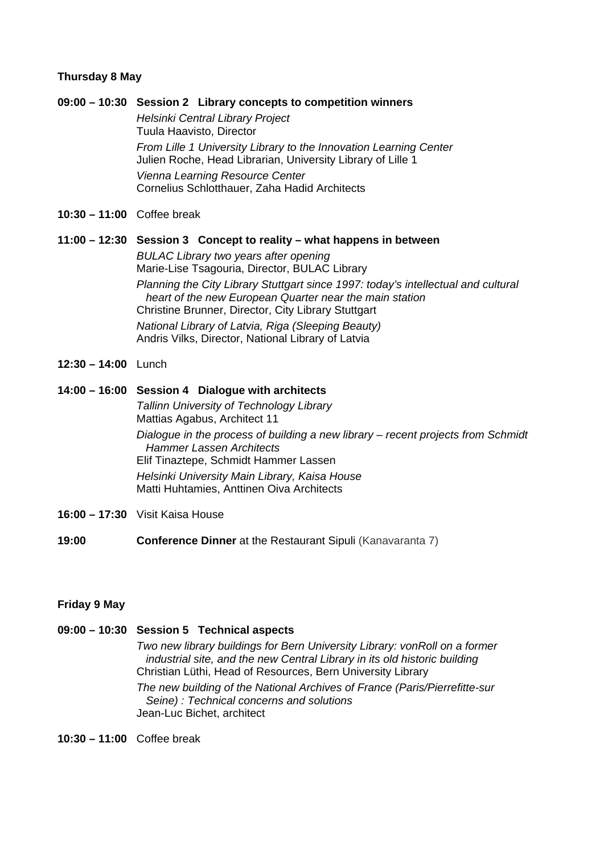#### **Thursday 8 May**

#### **09:00 – 10:30 Session 2 Library concepts to competition winners**

*Helsinki Central Library Project* Tuula Haavisto, Director *From Lille 1 University Library to the Innovation Learning Center*  Julien Roche, Head Librarian, University Library of Lille 1 *Vienna Learning Resource Center*  Cornelius Schlotthauer, Zaha Hadid Architects

**10:30 – 11:00** Coffee break

#### **11:00 – 12:30 Session 3 Concept to reality – what happens in between**

*BULAC Library two years after opening* Marie-Lise Tsagouria, Director, BULAC Library *Planning the City Library Stuttgart since 1997: today's intellectual and cultural heart of the new European Quarter near the main station* Christine Brunner, Director, City Library Stuttgart *National Library of Latvia, Riga (Sleeping Beauty)*  Andris Vilks, Director, National Library of Latvia

**12:30 – 14:00** Lunch

#### **14:00 – 16:00 Session 4 Dialogue with architects**

*Tallinn University of Technology Library*  Mattias Agabus, Architect 11 *Dialogue in the process of building a new library – recent projects from Schmidt Hammer Lassen Architects*  Elif Tinaztepe, Schmidt Hammer Lassen *Helsinki University Main Library, Kaisa House*  Matti Huhtamies, Anttinen Oiva Architects

- **16:00 17:30** Visit Kaisa House
- **19:00 Conference Dinner** at the Restaurant Sipuli (Kanavaranta 7)

#### **Friday 9 May**

## **09:00 – 10:30 Session 5 Technical aspects**  *Two new library buildings for Bern University Library: vonRoll on a former industrial site, and the new Central Library in its old historic building* Christian Lüthi, Head of Resources, Bern University Library *The new building of the National Archives of France (Paris/Pierrefitte-sur Seine) : Technical concerns and solutions*  Jean-Luc Bichet, architect

**10:30 – 11:00** Coffee break